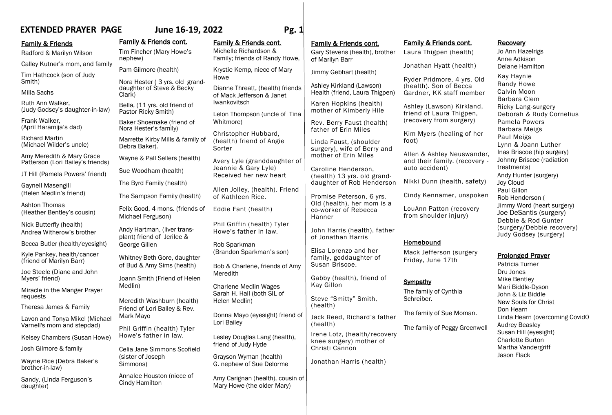# **EXTENDED PRAYER PAGE June 16-19, 2022 Pg. 1**

### **Family & Friends**

Radford & Marilyn Wilson

Calley Kutner's mom, and family

Tim Hathcock (son of Judy Smith)

### Milla Sachs

Ruth Ann Walker, (Judy Godsey's daughter-in-law)

Frank Walker, (April Haramija's dad)

Richard Martin (Michael Wilder's uncle)

Amy Meredith & Mary Grace Patterson (Lori Bailey's friends)

JT Hill (Pamela Powers' friend)

Gaynell Masengill (Helen Medlin's friend)

Ashton Thomas (Heather Bentley's cousin)

Nick Butterfly (health) Andrea Witherow's brother

Becca Butler (health/eyesight)

Kyle Pankey, health/cancer (friend of Marilyn Barr)

Joe Steele (Diane and John Myers' friend)

Miracle in the Manger Prayer requests

Theresa James & Family

Lavon and Tonya Mikel (Michael Varnell's mom and stepdad)

Kelsey Chambers (Susan Howe)

Josh Gilmore & family

Wayne Rice (Debra Baker's brother-in-law)

Sandy, (Linda Ferguson's daughter)

Family & Friends cont. Tim Fincher (Mary Howe's nephew) Pam Gilmore (health) Nora Hester ( 3 yrs. old granddaughter of Steve & Becky Clark) Bella, (11 yrs. old friend of Pastor Ricky Smith) Baker Shoemake (friend of Nora Hester's family) Marrette Kirby Mills & family of Debra Baker). Wayne & Pall Sellers (health) Sue Woodham (health) The Byrd Family (health) The Sampson Family (health) Felix Good, 4 mons. (friends of Michael Ferguson) Andy Hartman, (liver transplant) friend of Jerilee & George Gillen Whitney Beth Gore, daughter of Bud & Amy Sims (health) Joann Smith (Friend of Helen Medlin) Meredith Washburn (health) Friend of Lori Bailey & Rev. Mark Mayo Phil Griffin (health) Tyler Howe's father in law. Celia Jane Simmons Scofield (sister of Joseph Simmons) Annalee Houston (niece of Cindy Hamilton

# Family & Friends cont.

Michelle Richardson & Family; friends of Randy Howe,

Krystie Kemp, niece of Mary Howe

Dianne Threatt, (health) friends of Mack Jefferson & Janet Iwankovitsch

Lelon Thompson (uncle of Tina Whitmore)

Christopher Hubbard, (health) friend of Angie Sorter

Avery Lyle (granddaughter of Jeannie & Gary Lyle) Received her new heart

Allen Jolley, (health). Friend of Kathleen Rice.

Eddie Fant (health)

Phil Griffin (health) Tyler Howe's father in law.

Rob Sparkman (Brandon Sparkman's son)

Bob & Charlene, friends of Amy Meredith

Charlene Medlin Wages Sarah H. Hall (both SIL of Helen Medlin)

Donna Mayo (eyesight) friend of Lori Bailey

Lesley Douglas Lang (health), friend of Judy Hyde

Grayson Wyman (health) G. nephew of Sue Delorme

Amy Carignan (health), cousin of Mary Howe (the older Mary)

# Family & Friends cont.

Gary Stevens (health), brother of Marilyn Barr

Jimmy Gebhart (health)

Ashley Kirkland (Lawson) Health (friend, Laura Thigpen)

Karen Hopkins (health) mother of Kimberly Hile

Rev. Berry Faust (health) father of Erin Miles

Linda Faust, (shoulder surgery), wife of Berry and mother of Erin Miles

Caroline Henderson, (health) 13 yrs. old granddaughter of Rob Henderson

Promise Peterson, 6 yrs. Old (health), her mom is a co-worker of Rebecca Hanner

John Harris (health), father of Jonathan Harris

Elisa Lorenzo and her family, goddaughter of Susan Briscoe.

Gabby (health), friend of Kay Gillon

Steve "Smitty" Smith, (health)

Jack Reed, Richard's father (health) Irene Lotz, (health/recovery knee surgery) mother of Christi Cannon

Jonathan Harris (health)

# Family & Friends cont.

Laura Thigpen (health)

Jonathan Hyatt (health)

Ryder Pridmore, 4 yrs. Old (health). Son of Becca Gardner, KK staff member

Ashley (Lawson) Kirkland, friend of Laura Thigpen, (recovery from surgery)

Kim Myers (healing of her foot)

Allen & Ashley Neuswander, and their family. (recovery auto accident)

Nikki Dunn (health, safety)

Cindy Kennamer, unspoken

LouAnn Patton (recovery from shoulder injury)

# Homebound

Mack Jefferson (surgery Friday, June 17th

# **Sympathy**

The family of Cynthia Schreiber.

The family of Sue Moman.

The family of Peggy Greenwell

Kay Haynie Randy Howe Calvin Moon Barbara Clem

**Recovery** 

Jo Ann Hazelrigs Anne Adkison Delane Hamilton

Ricky Lang-surgery Deborah & Rudy Cornelius Pamela Powers Barbara Meigs Paul Meigs Lynn & Joann Luther Inas Briscoe (hip surgery) Johnny Briscoe (radiation treatments) Andy Hunter (surgery)

Joy Cloud Paul Gillon Rob Henderson ( Jimmy Word (heart surgery) Joe DeSantis (surgery) Debbie & Rod Gunter (surgery/Debbie recovery) Judy Godsey (surgery)

# Prolonged Prayer

Patricia Turner Dru Jones Mike Bentley Mari Biddle-Dyson John & Liz Biddle New Souls for Christ Don Hearn Linda Hearn (overcoming Covid0 Audrey Beasley Susan Hill (eyesight) Charlotte Burton Martha Vandergriff Jason Flack